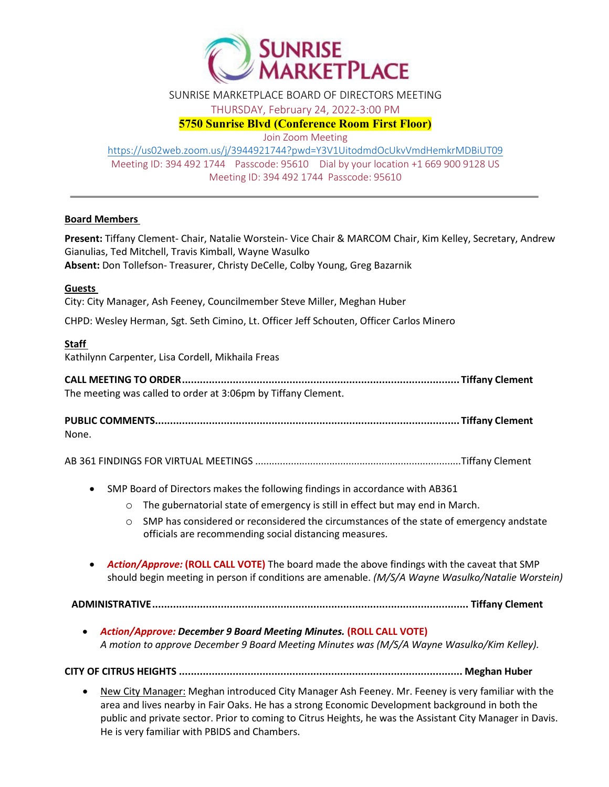

SUNRISE MARKETPLACE BOARD OF DIRECTORS MEETING

THURSDAY, February 24, 2022-3:00 PM

**5750 Sunrise Blvd (Conference Room First Floor)**

Join Zoom Meeting

<https://us02web.zoom.us/j/3944921744?pwd=Y3V1UitodmdOcUkvVmdHemkrMDBiUT09> Meeting ID: 394 492 1744 Passcode: 95610 Dial by your location +1 669 900 9128 US Meeting ID: 394 492 1744 Passcode: 95610

### **Board Members**

**Present:** Tiffany Clement- Chair, Natalie Worstein- Vice Chair & MARCOM Chair, Kim Kelley, Secretary, Andrew Gianulias, Ted Mitchell, Travis Kimball, Wayne Wasulko **Absent:** Don Tollefson- Treasurer, Christy DeCelle, Colby Young, Greg Bazarnik

### **Guests**

City: City Manager, Ash Feeney, Councilmember Steve Miller, Meghan Huber

CHPD: Wesley Herman, Sgt. Seth Cimino, Lt. Officer Jeff Schouten, Officer Carlos Minero

# **Staff**

Kathilynn Carpenter, Lisa Cordell, Mikhaila Freas

**CALL MEETING TO ORDER............................................................................................. Tiffany Clement** The meeting was called to order at 3:06pm by Tiffany Clement.

**PUBLIC COMMENTS...................................................................................................... Tiffany Clement** None.

AB 361 FINDINGS FOR VIRTUAL MEETINGS ...........................................................................Tiffany Clement

- SMP Board of Directors makes the following findings in accordance with AB361
	- $\circ$  The gubernatorial state of emergency is still in effect but may end in March.
	- $\circ$  SMP has considered or reconsidered the circumstances of the state of emergency andstate officials are recommending social distancing measures.
- *Action/Approve:* **(ROLL CALL VOTE)** The board made the above findings with the caveat that SMP should begin meeting in person if conditions are amenable. *(M/S/A Wayne Wasulko/Natalie Worstein)*

**ADMINISTRATIVE.......................................................................................................... Tiffany Clement**

• *Action/Approve: December 9 Board Meeting Minutes.* **(ROLL CALL VOTE)** *A motion to approve December 9 Board Meeting Minutes was (M/S/A Wayne Wasulko/Kim Kelley).*

**CITY OF CITRUS HEIGHTS ............................................................................................... Meghan Huber**

• New City Manager: Meghan introduced City Manager Ash Feeney. Mr. Feeney is very familiar with the area and lives nearby in Fair Oaks. He has a strong Economic Development background in both the public and private sector. Prior to coming to Citrus Heights, he was the Assistant City Manager in Davis. He is very familiar with PBIDS and Chambers.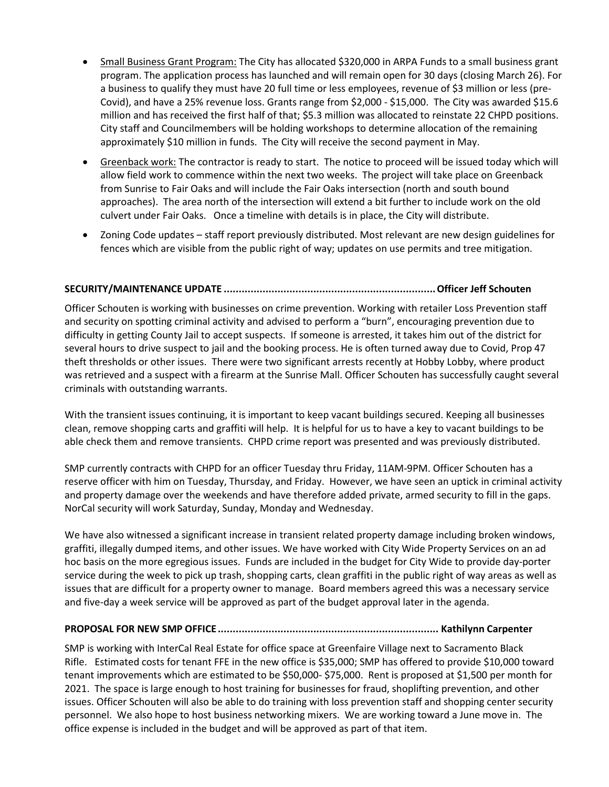- Small Business Grant Program: The City has allocated \$320,000 in ARPA Funds to a small business grant program. The application process has launched and will remain open for 30 days (closing March 26). For a business to qualify they must have 20 full time or less employees, revenue of \$3 million or less (pre-Covid), and have a 25% revenue loss. Grants range from \$2,000 - \$15,000. The City was awarded \$15.6 million and has received the first half of that; \$5.3 million was allocated to reinstate 22 CHPD positions. City staff and Councilmembers will be holding workshops to determine allocation of the remaining approximately \$10 million in funds. The City will receive the second payment in May.
- Greenback work: The contractor is ready to start. The notice to proceed will be issued today which will allow field work to commence within the next two weeks. The project will take place on Greenback from Sunrise to Fair Oaks and will include the Fair Oaks intersection (north and south bound approaches). The area north of the intersection will extend a bit further to include work on the old culvert under Fair Oaks. Once a timeline with details is in place, the City will distribute.
- Zoning Code updates staff report previously distributed. Most relevant are new design guidelines for fences which are visible from the public right of way; updates on use permits and tree mitigation.

### **SECURITY/MAINTENANCE UPDATE .......................................................................Officer Jeff Schouten**

Officer Schouten is working with businesses on crime prevention. Working with retailer Loss Prevention staff and security on spotting criminal activity and advised to perform a "burn", encouraging prevention due to difficulty in getting County Jail to accept suspects. If someone is arrested, it takes him out of the district for several hours to drive suspect to jail and the booking process. He is often turned away due to Covid, Prop 47 theft thresholds or other issues. There were two significant arrests recently at Hobby Lobby, where product was retrieved and a suspect with a firearm at the Sunrise Mall. Officer Schouten has successfully caught several criminals with outstanding warrants.

With the transient issues continuing, it is important to keep vacant buildings secured. Keeping all businesses clean, remove shopping carts and graffiti will help. It is helpful for us to have a key to vacant buildings to be able check them and remove transients. CHPD crime report was presented and was previously distributed.

SMP currently contracts with CHPD for an officer Tuesday thru Friday, 11AM-9PM. Officer Schouten has a reserve officer with him on Tuesday, Thursday, and Friday. However, we have seen an uptick in criminal activity and property damage over the weekends and have therefore added private, armed security to fill in the gaps. NorCal security will work Saturday, Sunday, Monday and Wednesday.

We have also witnessed a significant increase in transient related property damage including broken windows, graffiti, illegally dumped items, and other issues. We have worked with City Wide Property Services on an ad hoc basis on the more egregious issues. Funds are included in the budget for City Wide to provide day-porter service during the week to pick up trash, shopping carts, clean graffiti in the public right of way areas as well as issues that are difficult for a property owner to manage. Board members agreed this was a necessary service and five-day a week service will be approved as part of the budget approval later in the agenda.

#### **PROPOSAL FOR NEW SMP OFFICE.......................................................................... Kathilynn Carpenter**

SMP is working with InterCal Real Estate for office space at Greenfaire Village next to Sacramento Black Rifle. Estimated costs for tenant FFE in the new office is \$35,000; SMP has offered to provide \$10,000 toward tenant improvements which are estimated to be \$50,000- \$75,000. Rent is proposed at \$1,500 per month for 2021. The space is large enough to host training for businesses for fraud, shoplifting prevention, and other issues. Officer Schouten will also be able to do training with loss prevention staff and shopping center security personnel. We also hope to host business networking mixers. We are working toward a June move in. The office expense is included in the budget and will be approved as part of that item.